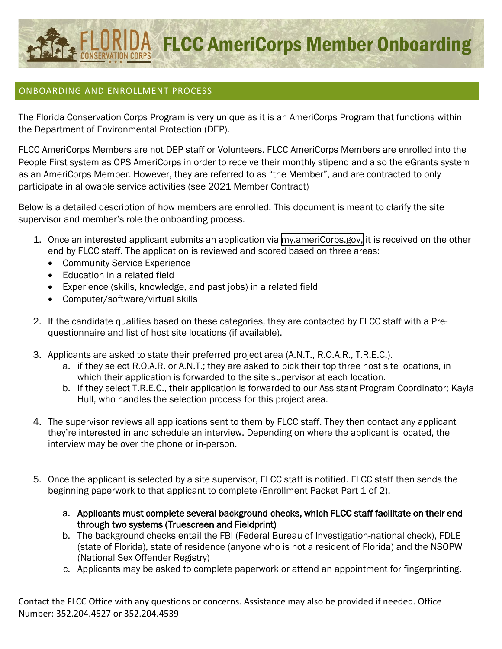

## ONBOARDING AND ENROLLMENT PROCESS

The Florida Conservation Corps Program is very unique as it is an AmeriCorps Program that functions within the Department of Environmental Protection (DEP).

FLCC AmeriCorps Members are not DEP staff or Volunteers. FLCC AmeriCorps Members are enrolled into the People First system as OPS AmeriCorps in order to receive their monthly stipend and also the eGrants system as an AmeriCorps Member. However, they are referred to as "the Member", and are contracted to only participate in allowable service activities (see 2021 Member Contract)

Below is a detailed description of how members are enrolled. This document is meant to clarify the site supervisor and member's role the onboarding process.

- 1. Once an interested applicant submits an application via [my.ameriCorps.gov,](https://my.americorps.gov/mp/login.do) it is received on the other end by FLCC staff. The application is reviewed and scored based on three areas:
	- Community Service Experience
	- Education in a related field
	- Experience (skills, knowledge, and past jobs) in a related field
	- Computer/software/virtual skills
- 2. If the candidate qualifies based on these categories, they are contacted by FLCC staff with a Prequestionnaire and list of host site locations (if available).
- 3. Applicants are asked to state their preferred project area (A.N.T., R.O.A.R., T.R.E.C.).
	- a. if they select R.O.A.R. or A.N.T.; they are asked to pick their top three host site locations, in which their application is forwarded to the site supervisor at each location.
	- b. If they select T.R.E.C., their application is forwarded to our Assistant Program Coordinator; Kayla Hull, who handles the selection process for this project area.
- 4. The supervisor reviews all applications sent to them by FLCC staff. They then contact any applicant they're interested in and schedule an interview. Depending on where the applicant is located, the interview may be over the phone or in-person.
- 5. Once the applicant is selected by a site supervisor, FLCC staff is notified. FLCC staff then sends the beginning paperwork to that applicant to complete (Enrollment Packet Part 1 of 2).
	- a. Applicants must complete several background checks, which FLCC staff facilitate on their end through two systems (Truescreen and Fieldprint)
	- b. The background checks entail the FBI (Federal Bureau of Investigation-national check), FDLE (state of Florida), state of residence (anyone who is not a resident of Florida) and the NSOPW (National Sex Offender Registry)
	- c. Applicants may be asked to complete paperwork or attend an appointment for fingerprinting.

Contact the FLCC Office with any questions or concerns. Assistance may also be provided if needed. Office Number: 352.204.4527 or 352.204.4539